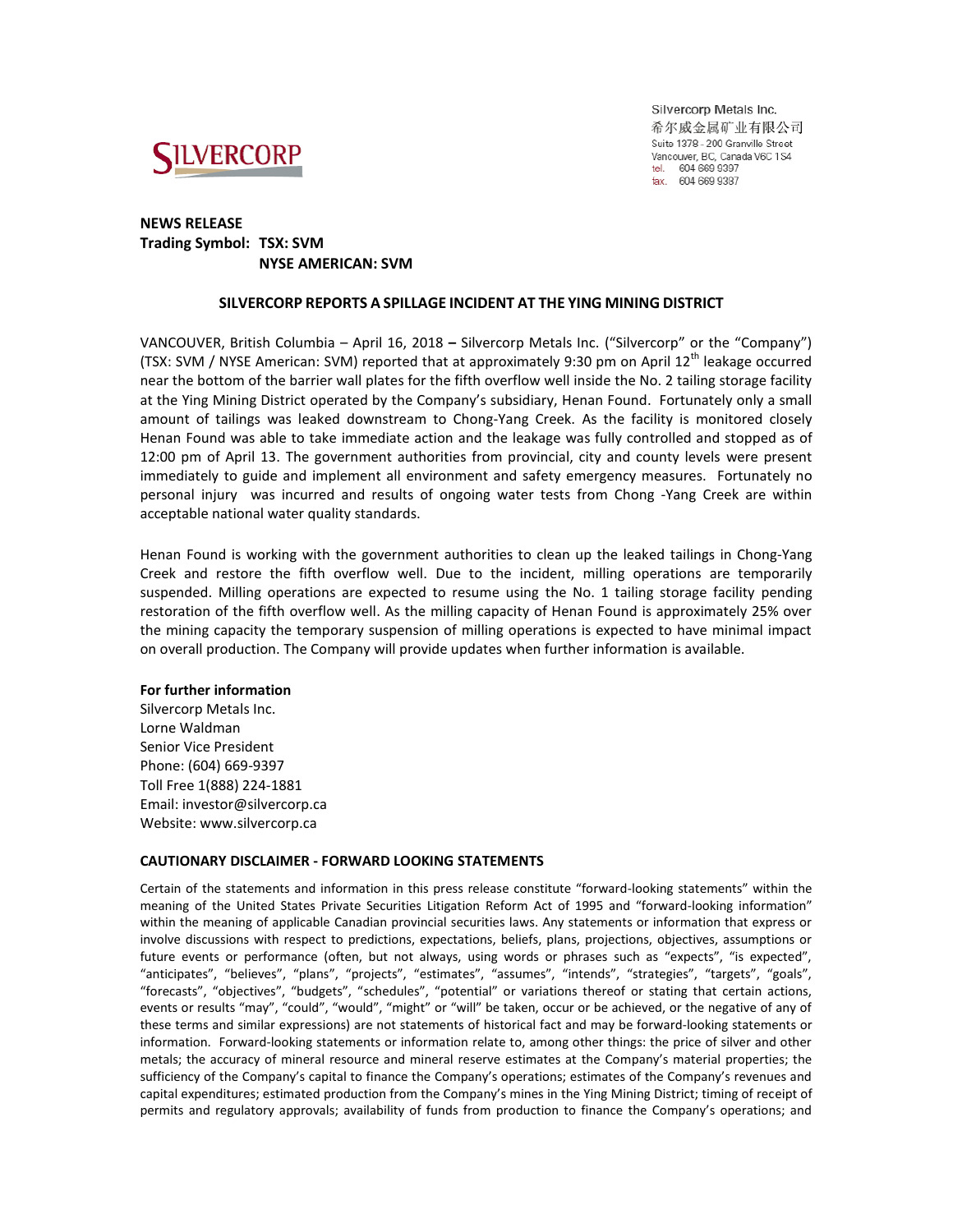

Silvercorp Metals Inc. 希尔威金属矿业有限公司 Suite 1378 - 200 Granville Street Vancouver, BC, Canada V6C 1S4 tel. 604 669 9397 fax. 604 669 9387

## **NEWS RELEASE Trading Symbol: TSX: SVM NYSE AMERICAN: SVM**

## **SILVERCORP REPORTS A SPILLAGE INCIDENT AT THE YING MINING DISTRICT**

VANCOUVER, British Columbia – April 16, 2018 **–** Silvercorp Metals Inc. ("Silvercorp" or the "Company") (TSX: SVM / NYSE American: SVM) reported that at approximately 9:30 pm on April 12 $^{\text{th}}$  leakage occurred near the bottom of the barrier wall plates for the fifth overflow well inside the No. 2 tailing storage facility at the Ying Mining District operated by the Company's subsidiary, Henan Found. Fortunately only a small amount of tailings was leaked downstream to Chong-Yang Creek. As the facility is monitored closely Henan Found was able to take immediate action and the leakage was fully controlled and stopped as of 12:00 pm of April 13. The government authorities from provincial, city and county levels were present immediately to guide and implement all environment and safety emergency measures. Fortunately no personal injury was incurred and results of ongoing water tests from Chong -Yang Creek are within acceptable national water quality standards.

Henan Found is working with the government authorities to clean up the leaked tailings in Chong-Yang Creek and restore the fifth overflow well. Due to the incident, milling operations are temporarily suspended. Milling operations are expected to resume using the No. 1 tailing storage facility pending restoration of the fifth overflow well. As the milling capacity of Henan Found is approximately 25% over the mining capacity the temporary suspension of milling operations is expected to have minimal impact on overall production. The Company will provide updates when further information is available.

## **For further information**

Silvercorp Metals Inc. Lorne Waldman Senior Vice President Phone: (604) 669-9397 Toll Free 1(888) 224-1881 Email: investor@silvercorp.ca Website: www.silvercorp.ca

## **CAUTIONARY DISCLAIMER - FORWARD LOOKING STATEMENTS**

Certain of the statements and information in this press release constitute "forward-looking statements" within the meaning of the United States Private Securities Litigation Reform Act of 1995 and "forward-looking information" within the meaning of applicable Canadian provincial securities laws. Any statements or information that express or involve discussions with respect to predictions, expectations, beliefs, plans, projections, objectives, assumptions or future events or performance (often, but not always, using words or phrases such as "expects", "is expected", "anticipates", "believes", "plans", "projects", "estimates", "assumes", "intends", "strategies", "targets", "goals", "forecasts", "objectives", "budgets", "schedules", "potential" or variations thereof or stating that certain actions, events or results "may", "could", "would", "might" or "will" be taken, occur or be achieved, or the negative of any of these terms and similar expressions) are not statements of historical fact and may be forward-looking statements or information. Forward-looking statements or information relate to, among other things: the price of silver and other metals; the accuracy of mineral resource and mineral reserve estimates at the Company's material properties; the sufficiency of the Company's capital to finance the Company's operations; estimates of the Company's revenues and capital expenditures; estimated production from the Company's mines in the Ying Mining District; timing of receipt of permits and regulatory approvals; availability of funds from production to finance the Company's operations; and